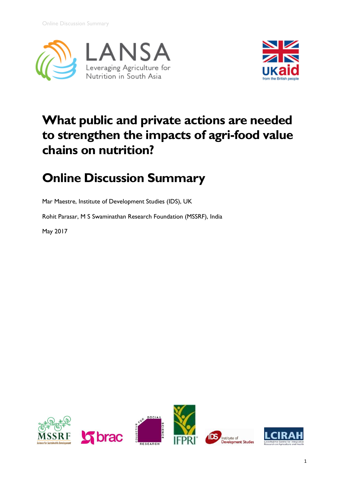



# **What public and private actions are needed to strengthen the impacts of agri-food value chains on nutrition?**

# **Online Discussion Summary**

Mar Maestre, Institute of Development Studies (IDS), UK

Rohit Parasar, M S Swaminathan Research Foundation (MSSRF), India

May 2017



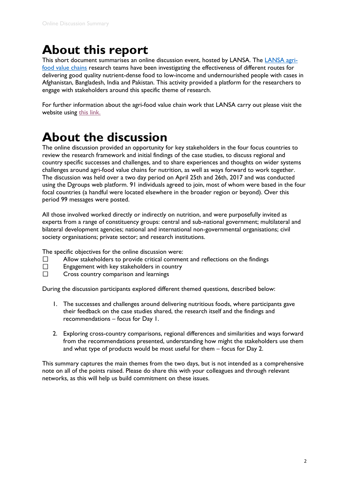# **About this report**

This short document summarises an online discussion event, hosted by LANSA. The [LANSA agri](http://lansasouthasia.org/content/agri-food-policies-and-markets)[food value chains](http://lansasouthasia.org/content/agri-food-policies-and-markets) research teams have been investigating the effectiveness of different routes for delivering good quality nutrient-dense food to low-income and undernourished people with cases in Afghanistan, Bangladesh, India and Pakistan. This activity provided a platform for the researchers to engage with stakeholders around this specific theme of research.

For further information about the agri-food value chain work that LANSA carry out please visit the website using [this link.](http://lansasouthasia.org/content/agri-food-policies-and-markets)

## **About the discussion**

The online discussion provided an opportunity for key stakeholders in the four focus countries to review the research framework and initial findings of the case studies, to discuss regional and country specific successes and challenges, and to share experiences and thoughts on wider systems challenges around agri-food value chains for nutrition, as well as ways forward to work together. The discussion was held over a two day period on April 25th and 26th, 2017 and was conducted using the Dgroups web platform. 91 individuals agreed to join, most of whom were based in the four focal countries (a handful were located elsewhere in the broader region or beyond). Over this period 99 messages were posted.

All those involved worked directly or indirectly on nutrition, and were purposefully invited as experts from a range of constituency groups: central and sub-national government; multilateral and bilateral development agencies; national and international non-governmental organisations; civil society organisations; private sector; and research institutions.

The specific objectives for the online discussion were:

- Allow stakeholders to provide critical comment and reflections on the findings  $\Box$
- $\Box$ Engagement with key stakeholders in country
- $\Box$ Cross country comparison and learnings

During the discussion participants explored different themed questions, described below:

- 1. The successes and challenges around delivering nutritious foods, where participants gave their feedback on the case studies shared, the research itself and the findings and recommendations – focus for Day 1.
- 2. Exploring cross-country comparisons, regional differences and similarities and ways forward from the recommendations presented, understanding how might the stakeholders use them and what type of products would be most useful for them – focus for Day 2.

This summary captures the main themes from the two days, but is not intended as a comprehensive note on all of the points raised. Please do share this with your colleagues and through relevant networks, as this will help us build commitment on these issues.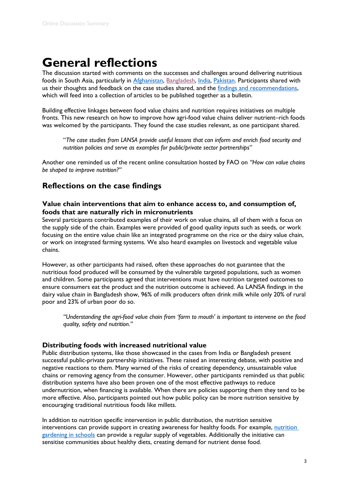## **General reflections**

The discussion started with comments on the successes and challenges around delivering nutritious foods in South Asia, particularly in [Afghanistan,](../../Users/beckym/AppData/Local/Microsoft/Windows/Temporary%20Internet%20Files/Content.Outlook/0PBJHMLW/%5b19:05:03%5d%20Steve%20Tovell:%20https:/dgroups.org/%3f544pn783) [Bangladesh,](https://dgroups.org/?c7tcp6ds) [India,](https://dgroups.org/?53t7tkn8) Pakistan, Participants shared with us their thoughts and feedback on the case studies shared, and the [findings and recommendations,](https://dgroups.org/?6gxbbk8w) which will feed into a collection of articles to be published together as a bulletin.

Building effective linkages between food value chains and nutrition requires initiatives on multiple fronts. This new research on how to improve how agri-food value chains deliver nutrient–rich foods was welcomed by the participants. They found the case studies relevant, as one participant shared.

"*The case studies from LANSA provide useful lessons that can inform and enrich food security and nutrition policies and serve as examples for public/private sector partnerships*"

Another one reminded us of the recent online consultation hosted by FAO on *"How can value chains be shaped to improve nutrition?"*

### **Reflections on the case findings**

#### **Value chain interventions that aim to enhance access to, and consumption of, foods that are naturally rich in micronutrients**

Several participants contributed examples of their work on value chains, all of them with a focus on the supply side of the chain. Examples were provided of good quality inputs such as seeds, or work focusing on the entire value chain like an integrated programme on the rice or the dairy value chain, or work on integrated farming systems. We also heard examples on livestock and vegetable value chains.

However, as other participants had raised, often these approaches do not guarantee that the nutritious food produced will be consumed by the vulnerable targeted populations, such as women and children. Some participants agreed that interventions must have nutrition targeted outcomes to ensure consumers eat the product and the nutrition outcome is achieved. As LANSA findings in the dairy value chain in Bangladesh show, 96% of milk producers often drink milk while only 20% of rural poor and 23% of urban poor do so.

*"Understanding the agri-food value chain from 'farm to mouth' is important to intervene on the food quality, safety and nutrition."*

#### **Distributing foods with increased nutritional value**

Public distribution systems, like those showcased in the cases from India or Bangladesh present successful public-private partnership initiatives. These raised an interesting debate, with positive and negative reactions to them. Many warned of the risks of creating dependency, unsustainable value chains or removing agency from the consumer. However, other participants reminded us that public distribution systems have also been proven one of the most effective pathways to reduce undernutrition, when financing is available. When there are policies supporting them they tend to be more effective. Also, participants pointed out how public policy can be more nutrition sensitive by encouraging traditional nutritious foods like millets.

In addition to nutrition specific intervention in public distribution, the nutrition sensitive interventions can provide support in creating awareness for healthy foods. For example, nutrition [gardening in schools](http://lansasouthasia.org/content/better-and-long-lasting-nutrition-begin-young) can provide a regular supply of vegetables. Additionally the initiative can sensitise communities about healthy diets, creating demand for nutrient dense food.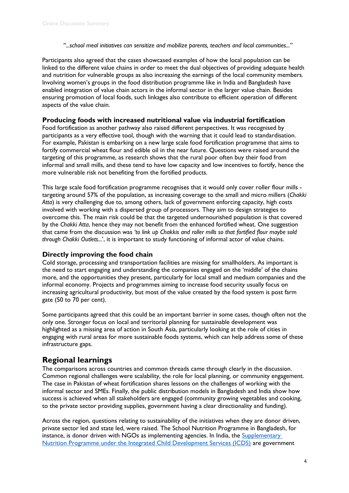*"...school meal initiatives can sensitize and mobilize parents, teachers and local communities..."* 

Participants also agreed that the cases showcased examples of how the local population can be linked to the different value chains in order to meet the dual objectives of providing adequate health and nutrition for vulnerable groups as also increasing the earnings of the local community members. Involving women's groups in the food distribution programme like in India and Bangladesh have enabled integration of value chain actors in the informal sector in the larger value chain. Besides ensuring promotion of local foods, such linkages also contribute to efficient operation of different aspects of the value chain.

#### **Producing foods with increased nutritional value via industrial fortification**

Food fortification as another pathway also raised different perspectives. It was recognised by participants as a very effective tool, though with the warning that it could lead to standardisation. For example, Pakistan is embarking on a new large scale food fortification programme that aims to fortify commercial wheat flour and edible oil in the near future. Questions were raised around the targeting of this programme, as research shows that the rural poor often buy their food from informal and small mills, and these tend to have low capacity and low incentives to fortify, hence the more vulnerable risk not benefiting from the fortified products.

This large scale food fortification programme recognises that it would only cover roller flour mills targeting around 57% of the population, as increasing coverage to the small and micro millers (*Chakki Atta*) is very challenging due to, among others, lack of government enforcing capacity, high costs involved with working with a dispersed group of processors. They aim to design strategies to overcome this. The main risk could be that the targeted undernourished population is that covered by the *Chakki Atta*, hence they may not benefit from the enhanced fortified wheat. One suggestion that came from the discussion was *'to link up Chakkis and roller mills so that fortified flour maybe sold through Chakki Outlets...*', it is important to study functioning of informal actor of value chains.

#### **Directly improving the food chain**

Cold storage, processing and transportation facilities are missing for smallholders. As important is the need to start engaging and understanding the companies engaged on the 'middle' of the chains more, and the opportunities they present, particularly for local small and medium companies and the informal economy. Projects and programmes aiming to increase food security usually focus on increasing agricultural productivity, but most of the value created by the food system is post farm gate (50 to 70 per cent).

Some participants agreed that this could be an important barrier in some cases, though often not the only one. Stronger focus on local and territorial planning for sustainable development was highlighted as a missing area of action in South Asia, particularly looking at the role of cities in engaging with rural areas for more sustainable foods systems, which can help address some of these infrastructure gaps.

### **Regional learnings**

The comparisons across countries and common threads came through clearly in the discussion. Common regional challenges were scalability, the role for local planning, or community engagement. The case in Pakistan of wheat fortification shares lessons on the challenges of working with the informal sector and SMEs. Finally, the public distribution models in Bangladesh and India show how success is achieved when all stakeholders are engaged (community growing vegetables and cooking, to the private sector providing supplies, government having a clear directionality and funding).

Across the region, questions relating to sustainability of the initiatives when they are donor driven, private sector led and state led, were raised. The School Nutrition Programme in Bangladesh, for instance, is donor driven with NGOs as implementing agencies. In India, the Supplementary [Nutrition Programme under the Integrated Child Development Services \(ICDS\)](http://lansasouthasia.org/blog/supplementary-nutrition-programme-example-social-protection-india) are government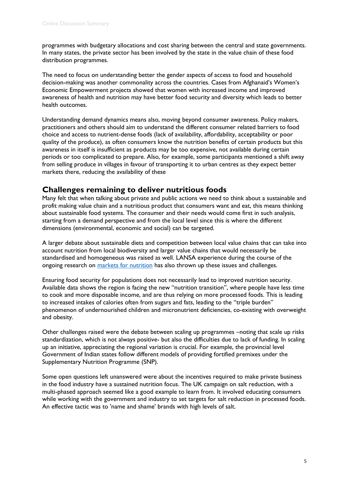programmes with budgetary allocations and cost sharing between the central and state governments. In many states, the private sector has been involved by the state in the value chain of these food distribution programmes.

The need to focus on understanding better the gender aspects of access to food and household decision-making was another commonality across the countries. Cases from Afghanaid's Women's Economic Empowerment projects showed that women with increased income and improved awareness of health and nutrition may have better food security and diversity which leads to better health outcomes.

Understanding demand dynamics means also, moving beyond consumer awareness. Policy makers, practitioners and others should aim to understand the different consumer related barriers to food choice and access to nutrient-dense foods (lack of availability, affordability, acceptability or poor quality of the produce), as often consumers know the nutrition benefits of certain products but this awareness in itself is insufficient as products may be too expensive, not available during certain periods or too complicated to prepare. Also, for example, some participants mentioned a shift away from selling produce in villages in favour of transporting it to urban centres as they expect better markets there, reducing the availability of these

### **Challenges remaining to deliver nutritious foods**

Many felt that when talking about private and public actions we need to think about a sustainable and profit making value chain and a nutritious product that consumers want and eat, this means thinking about sustainable food systems. The consumer and their needs would come first in such analysis, starting from a demand perspective and from the local level since this is where the different dimensions (environmental, economic and social) can be targeted.

A larger debate about sustainable diets and competition between local value chains that can take into account nutrition from local biodiversity and larger value chains that would necessarily be standardised and homogeneous was raised as well. LANSA experience during the course of the ongoing research on [markets for nutrition](http://lansasouthasia.org/content/markets-nutrition-0) has also thrown up these issues and challenges.

Ensuring food security for populations does not necessarily lead to improved nutrition security. Available data shows the region is facing the new "nutrition transition", where people have less time to cook and more disposable income, and are thus relying on more processed foods. This is leading to increased intakes of calories often from sugars and fats, leading to the "triple burden" phenomenon of undernourished children and micronutrient deficiencies, co-existing with overweight and obesity.

Other challenges raised were the debate between scaling up programmes –noting that scale up risks standardization, which is not always positive- but also the difficulties due to lack of funding. In scaling up an initiative, appreciating the regional variation is crucial. For example, the provincial level Government of Indian states follow different models of providing fortified premixes under the Supplementary Nutrition Programme (SNP).

Some open questions left unanswered were about the incentives required to make private business in the food industry have a sustained nutrition focus. The UK campaign on salt reduction, with a multi-phased approach seemed like a good example to learn from. It involved educating consumers while working with the government and industry to set targets for salt reduction in processed foods. An effective tactic was to 'name and shame' brands with high levels of salt.